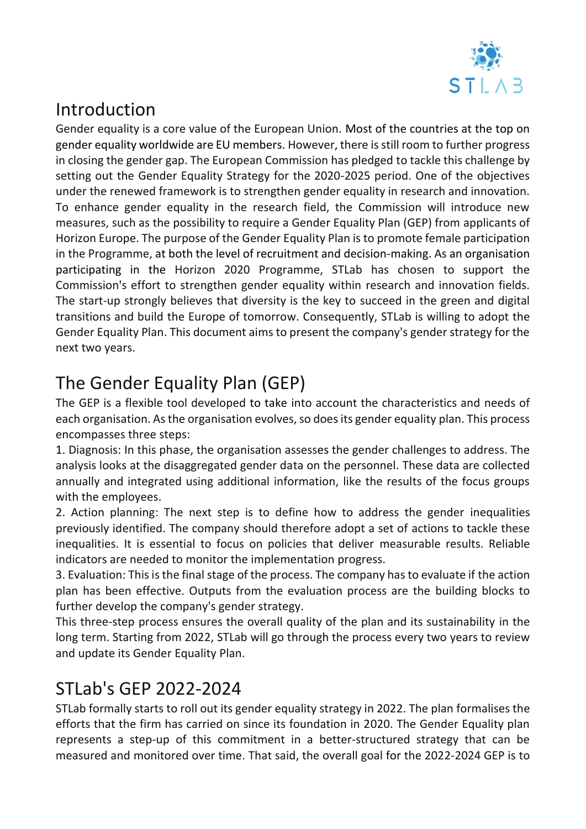

# Introduction

Gender equality is a core value of the European Union. Most of the countries at the top on gender equality worldwide are EU members. However, there is still room to further progress in closing the gender gap. The European Commission has pledged to tackle this challenge by setting out the Gender Equality Strategy for the 2020-2025 period. One of the objectives under the renewed framework is to strengthen gender equality in research and innovation. To enhance gender equality in the research field, the Commission will introduce new measures, such as the possibility to require a Gender Equality Plan (GEP) from applicants of Horizon Europe. The purpose of the Gender Equality Plan is to promote female participation in the Programme, at both the level of recruitment and decision-making. As an organisation participating in the Horizon 2020 Programme, STLab has chosen to support the Commission's effort to strengthen gender equality within research and innovation fields. The start-up strongly believes that diversity is the key to succeed in the green and digital transitions and build the Europe of tomorrow. Consequently, STLab is willing to adopt the Gender Equality Plan. This document aims to present the company's gender strategy for the next two years.

# The Gender Equality Plan (GEP)

The GEP is a flexible tool developed to take into account the characteristics and needs of each organisation. As the organisation evolves, so does its gender equality plan. This process encompasses three steps:

1. Diagnosis: In this phase, the organisation assesses the gender challenges to address. The analysis looks at the disaggregated gender data on the personnel. These data are collected annually and integrated using additional information, like the results of the focus groups with the employees.

2. Action planning: The next step is to define how to address the gender inequalities previously identified. The company should therefore adopt a set of actions to tackle these inequalities. It is essential to focus on policies that deliver measurable results. Reliable indicators are needed to monitor the implementation progress.

3. Evaluation: This is the final stage of the process. The company has to evaluate if the action plan has been effective. Outputs from the evaluation process are the building blocks to further develop the company's gender strategy.

This three-step process ensures the overall quality of the plan and its sustainability in the long term. Starting from 2022, STLab will go through the process every two years to review and update its Gender Equality Plan.

# STLab's GEP 2022-2024

STLab formally starts to roll out its gender equality strategy in 2022. The plan formalises the efforts that the firm has carried on since its foundation in 2020. The Gender Equality plan represents a step-up of this commitment in a better-structured strategy that can be measured and monitored over time. That said, the overall goal for the 2022-2024 GEP is to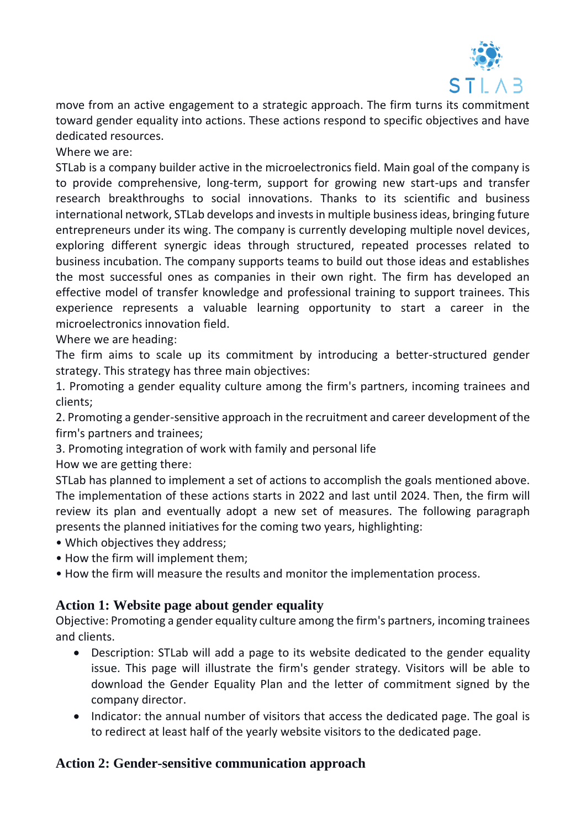

move from an active engagement to a strategic approach. The firm turns its commitment toward gender equality into actions. These actions respond to specific objectives and have dedicated resources.

Where we are:

STLab is a company builder active in the microelectronics field. Main goal of the company is to provide comprehensive, long-term, support for growing new start-ups and transfer research breakthroughs to social innovations. Thanks to its scientific and business international network, STLab develops and invests in multiple business ideas, bringing future entrepreneurs under its wing. The company is currently developing multiple novel devices, exploring different synergic ideas through structured, repeated processes related to business incubation. The company supports teams to build out those ideas and establishes the most successful ones as companies in their own right. The firm has developed an effective model of transfer knowledge and professional training to support trainees. This experience represents a valuable learning opportunity to start a career in the microelectronics innovation field.

Where we are heading:

The firm aims to scale up its commitment by introducing a better-structured gender strategy. This strategy has three main objectives:

1. Promoting a gender equality culture among the firm's partners, incoming trainees and clients;

2. Promoting a gender-sensitive approach in the recruitment and career development of the firm's partners and trainees;

3. Promoting integration of work with family and personal life

How we are getting there:

STLab has planned to implement a set of actions to accomplish the goals mentioned above. The implementation of these actions starts in 2022 and last until 2024. Then, the firm will review its plan and eventually adopt a new set of measures. The following paragraph presents the planned initiatives for the coming two years, highlighting:

- Which objectives they address;
- How the firm will implement them;
- How the firm will measure the results and monitor the implementation process.

#### **Action 1: Website page about gender equality**

Objective: Promoting a gender equality culture among the firm's partners, incoming trainees and clients.

- Description: STLab will add a page to its website dedicated to the gender equality issue. This page will illustrate the firm's gender strategy. Visitors will be able to download the Gender Equality Plan and the letter of commitment signed by the company director.
- Indicator: the annual number of visitors that access the dedicated page. The goal is to redirect at least half of the yearly website visitors to the dedicated page.

#### **Action 2: Gender-sensitive communication approach**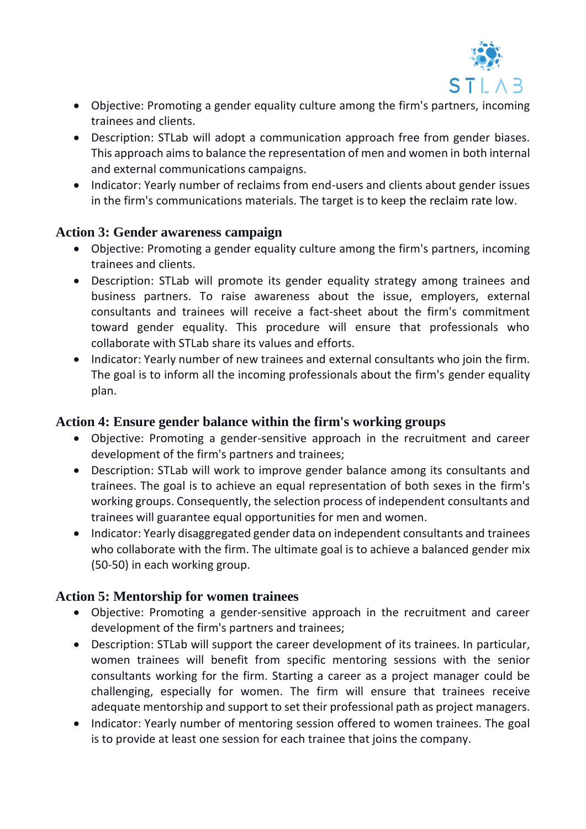

- Objective: Promoting a gender equality culture among the firm's partners, incoming trainees and clients.
- Description: STLab will adopt a communication approach free from gender biases. This approach aims to balance the representation of men and women in both internal and external communications campaigns.
- Indicator: Yearly number of reclaims from end-users and clients about gender issues in the firm's communications materials. The target is to keep the reclaim rate low.

#### **Action 3: Gender awareness campaign**

- Objective: Promoting a gender equality culture among the firm's partners, incoming trainees and clients.
- Description: STLab will promote its gender equality strategy among trainees and business partners. To raise awareness about the issue, employers, external consultants and trainees will receive a fact-sheet about the firm's commitment toward gender equality. This procedure will ensure that professionals who collaborate with STLab share its values and efforts.
- Indicator: Yearly number of new trainees and external consultants who join the firm. The goal is to inform all the incoming professionals about the firm's gender equality plan.

### **Action 4: Ensure gender balance within the firm's working groups**

- Objective: Promoting a gender-sensitive approach in the recruitment and career development of the firm's partners and trainees;
- Description: STLab will work to improve gender balance among its consultants and trainees. The goal is to achieve an equal representation of both sexes in the firm's working groups. Consequently, the selection process of independent consultants and trainees will guarantee equal opportunities for men and women.
- Indicator: Yearly disaggregated gender data on independent consultants and trainees who collaborate with the firm. The ultimate goal is to achieve a balanced gender mix (50-50) in each working group.

## **Action 5: Mentorship for women trainees**

- Objective: Promoting a gender-sensitive approach in the recruitment and career development of the firm's partners and trainees;
- Description: STLab will support the career development of its trainees. In particular, women trainees will benefit from specific mentoring sessions with the senior consultants working for the firm. Starting a career as a project manager could be challenging, especially for women. The firm will ensure that trainees receive adequate mentorship and support to set their professional path as project managers.
- Indicator: Yearly number of mentoring session offered to women trainees. The goal is to provide at least one session for each trainee that joins the company.